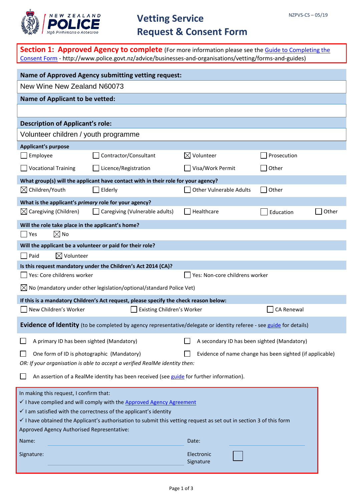

|                                                                                                        | <b>Section 1: Approved Agency to complete</b> (For more information please see the Guide to Completing the<br>Consent Form - http://www.police.govt.nz/advice/businesses-and-organisations/vetting/forms-and-guides)                                                                 |                                             |             |       |
|--------------------------------------------------------------------------------------------------------|--------------------------------------------------------------------------------------------------------------------------------------------------------------------------------------------------------------------------------------------------------------------------------------|---------------------------------------------|-------------|-------|
|                                                                                                        | Name of Approved Agency submitting vetting request:                                                                                                                                                                                                                                  |                                             |             |       |
| New Wine New Zealand N60073                                                                            |                                                                                                                                                                                                                                                                                      |                                             |             |       |
| <b>Name of Applicant to be vetted:</b>                                                                 |                                                                                                                                                                                                                                                                                      |                                             |             |       |
|                                                                                                        |                                                                                                                                                                                                                                                                                      |                                             |             |       |
| <b>Description of Applicant's role:</b>                                                                |                                                                                                                                                                                                                                                                                      |                                             |             |       |
| Volunteer children / youth programme                                                                   |                                                                                                                                                                                                                                                                                      |                                             |             |       |
| <b>Applicant's purpose</b>                                                                             |                                                                                                                                                                                                                                                                                      |                                             |             |       |
| Employee                                                                                               | Contractor/Consultant                                                                                                                                                                                                                                                                | $\boxtimes$ Volunteer                       | Prosecution |       |
| <b>Vocational Training</b>                                                                             | Licence/Registration                                                                                                                                                                                                                                                                 | Visa/Work Permit                            | Other       |       |
|                                                                                                        | What group(s) will the applicant have contact with in their role for your agency?                                                                                                                                                                                                    |                                             |             |       |
| $\boxtimes$ Children/Youth                                                                             | Elderly                                                                                                                                                                                                                                                                              | <b>Other Vulnerable Adults</b>              | Other       |       |
| What is the applicant's primary role for your agency?                                                  |                                                                                                                                                                                                                                                                                      |                                             |             |       |
| $\boxtimes$ Caregiving (Children)                                                                      | Caregiving (Vulnerable adults)                                                                                                                                                                                                                                                       | Healthcare                                  | Education   | Other |
| Will the role take place in the applicant's home?                                                      |                                                                                                                                                                                                                                                                                      |                                             |             |       |
| $\boxtimes$ No<br>$ $ Yes                                                                              |                                                                                                                                                                                                                                                                                      |                                             |             |       |
| Will the applicant be a volunteer or paid for their role?                                              |                                                                                                                                                                                                                                                                                      |                                             |             |       |
| $\boxtimes$ Volunteer<br>Paid                                                                          |                                                                                                                                                                                                                                                                                      |                                             |             |       |
|                                                                                                        | Is this request mandatory under the Children's Act 2014 (CA)?                                                                                                                                                                                                                        |                                             |             |       |
| Yes: Core childrens worker                                                                             |                                                                                                                                                                                                                                                                                      | Yes: Non-core childrens worker              |             |       |
|                                                                                                        | $\boxtimes$ No (mandatory under other legislation/optional/standard Police Vet)                                                                                                                                                                                                      |                                             |             |       |
|                                                                                                        | If this is a mandatory Children's Act request, please specify the check reason below:                                                                                                                                                                                                |                                             |             |       |
| New Children's Worker                                                                                  | Existing Children's Worker                                                                                                                                                                                                                                                           |                                             | CA Renewal  |       |
|                                                                                                        | Evidence of Identity (to be completed by agency representative/delegate or identity referee - see guide for details)                                                                                                                                                                 |                                             |             |       |
| A primary ID has been sighted (Mandatory)                                                              |                                                                                                                                                                                                                                                                                      | A secondary ID has been sighted (Mandatory) |             |       |
| One form of ID is photographic (Mandatory)<br>Evidence of name change has been sighted (if applicable) |                                                                                                                                                                                                                                                                                      |                                             |             |       |
|                                                                                                        | OR: If your organisation is able to accept a verified RealMe identity then:                                                                                                                                                                                                          |                                             |             |       |
|                                                                                                        | An assertion of a RealMe identity has been received (see guide for further information).                                                                                                                                                                                             |                                             |             |       |
| In making this request, I confirm that:<br>Approved Agency Authorised Representative:<br>Name:         | I have complied and will comply with the Approved Agency Agreement<br>$\checkmark$ I am satisfied with the correctness of the applicant's identity<br>$\checkmark$ I have obtained the Applicant's authorisation to submit this vetting request as set out in section 3 of this form | Date:                                       |             |       |
| Signature:                                                                                             |                                                                                                                                                                                                                                                                                      | Electronic<br>Signature                     |             |       |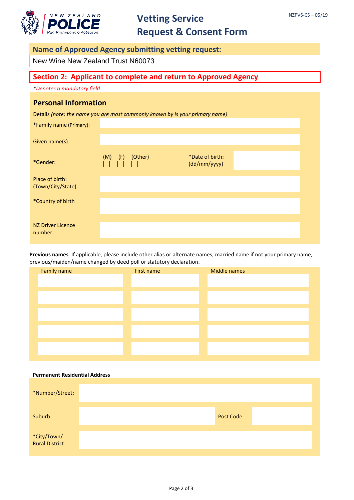

# **Vetting Service Request & Consent Form**

#### **Name of Approved Agency submitting vetting request:**

New Wine New Zealand Trust N60073

### **Section 2: Applicant to complete and return to Approved Agency**

*\*Denotes a mandatory field*

#### **Personal Information**

Details *(note: the name you are most commonly known by is your primary name)*

| *Family name (Primary):              |            |         |                                 |  |
|--------------------------------------|------------|---------|---------------------------------|--|
| Given name(s):                       |            |         |                                 |  |
| *Gender:                             | (M)<br>(F) | (Other) | *Date of birth:<br>(dd/mm/yyyy) |  |
| Place of birth:<br>(Town/City/State) |            |         |                                 |  |
| *Country of birth                    |            |         |                                 |  |
| NZ Driver Licence<br>number:         |            |         |                                 |  |

**Previous names**: If applicable, please include other alias or alternate names; married name if not your primary name; previous/maiden/name changed by deed poll or statutory declaration.

| Family name | First name | Middle names |
|-------------|------------|--------------|
|             |            |              |
|             |            |              |
|             |            |              |
|             |            |              |
|             |            |              |
|             |            |              |
|             |            |              |
|             |            |              |
|             |            |              |
|             |            |              |

| <b>Permanent Residential Address</b> |                   |  |
|--------------------------------------|-------------------|--|
| *Number/Street:                      |                   |  |
| Suburb:                              | <b>Post Code:</b> |  |
| *City/Town/<br>Rural District:       |                   |  |